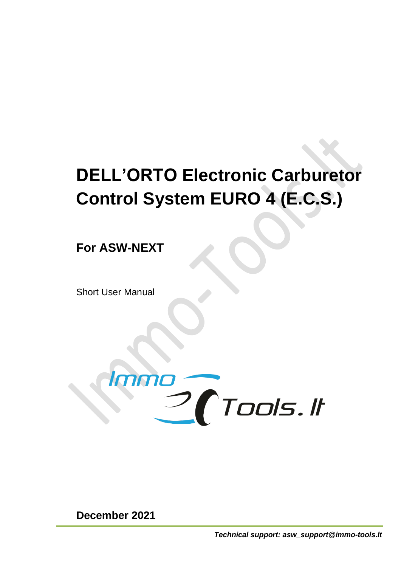## **DELL'ORTO Electronic Carburetor Control System EURO 4 (E.C.S.)**

**For ASW-NEXT**

Short User Manual



**December 2021**

*Technical support: asw\_support@immo-tools.lt*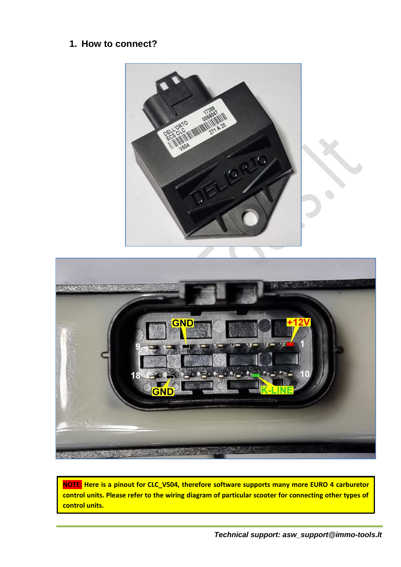## **1. How to connect?**



**NOTE: Here is a pinout for CLC\_V504, therefore software supports many more EURO 4 carburetor control units. Please refer to the wiring diagram of particular scooter for connecting other types of control units.**